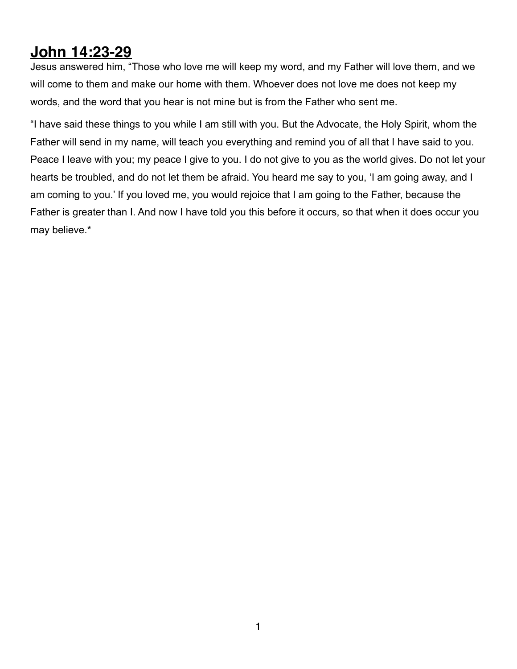## **John 14:23-29**

Jesus answered him, "Those who love me will keep my word, and my Father will love them, and we will come to them and make our home with them. Whoever does not love me does not keep my words, and the word that you hear is not mine but is from the Father who sent me.

"I have said these things to you while I am still with you. But the Advocate, the Holy Spirit, whom the Father will send in my name, will teach you everything and remind you of all that I have said to you. Peace I leave with you; my peace I give to you. I do not give to you as the world gives. Do not let your hearts be troubled, and do not let them be afraid. You heard me say to you, 'I am going away, and I am coming to you.' If you loved me, you would rejoice that I am going to the Father, because the Father is greater than I. And now I have told you this before it occurs, so that when it does occur you may believe.\*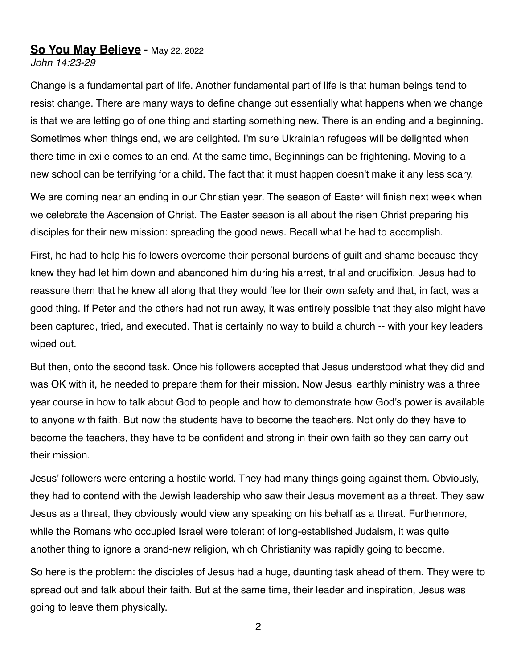## **So You May Believe -** May 22, 2022

*John 14:23-29*

Change is a fundamental part of life. Another fundamental part of life is that human beings tend to resist change. There are many ways to define change but essentially what happens when we change is that we are letting go of one thing and starting something new. There is an ending and a beginning. Sometimes when things end, we are delighted. I'm sure Ukrainian refugees will be delighted when there time in exile comes to an end. At the same time, Beginnings can be frightening. Moving to a new school can be terrifying for a child. The fact that it must happen doesn't make it any less scary.

We are coming near an ending in our Christian year. The season of Easter will finish next week when we celebrate the Ascension of Christ. The Easter season is all about the risen Christ preparing his disciples for their new mission: spreading the good news. Recall what he had to accomplish.

First, he had to help his followers overcome their personal burdens of guilt and shame because they knew they had let him down and abandoned him during his arrest, trial and crucifixion. Jesus had to reassure them that he knew all along that they would flee for their own safety and that, in fact, was a good thing. If Peter and the others had not run away, it was entirely possible that they also might have been captured, tried, and executed. That is certainly no way to build a church -- with your key leaders wiped out.

But then, onto the second task. Once his followers accepted that Jesus understood what they did and was OK with it, he needed to prepare them for their mission. Now Jesus' earthly ministry was a three year course in how to talk about God to people and how to demonstrate how God's power is available to anyone with faith. But now the students have to become the teachers. Not only do they have to become the teachers, they have to be confident and strong in their own faith so they can carry out their mission.

Jesus' followers were entering a hostile world. They had many things going against them. Obviously, they had to contend with the Jewish leadership who saw their Jesus movement as a threat. They saw Jesus as a threat, they obviously would view any speaking on his behalf as a threat. Furthermore, while the Romans who occupied Israel were tolerant of long-established Judaism, it was quite another thing to ignore a brand-new religion, which Christianity was rapidly going to become.

So here is the problem: the disciples of Jesus had a huge, daunting task ahead of them. They were to spread out and talk about their faith. But at the same time, their leader and inspiration, Jesus was going to leave them physically.

2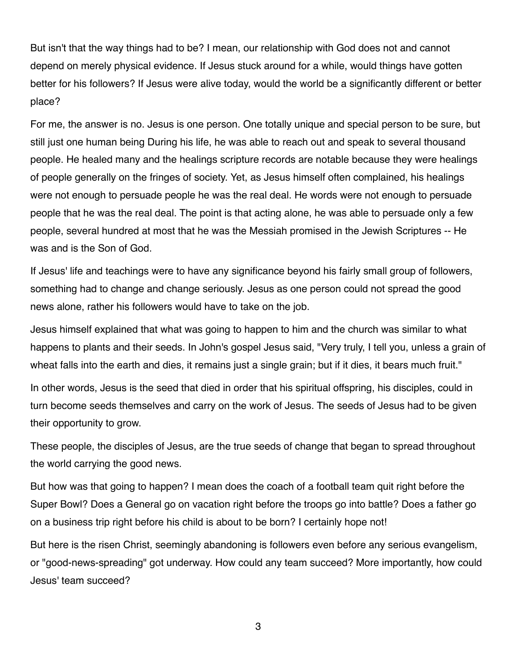But isn't that the way things had to be? I mean, our relationship with God does not and cannot depend on merely physical evidence. If Jesus stuck around for a while, would things have gotten better for his followers? If Jesus were alive today, would the world be a significantly different or better place?

For me, the answer is no. Jesus is one person. One totally unique and special person to be sure, but still just one human being During his life, he was able to reach out and speak to several thousand people. He healed many and the healings scripture records are notable because they were healings of people generally on the fringes of society. Yet, as Jesus himself often complained, his healings were not enough to persuade people he was the real deal. He words were not enough to persuade people that he was the real deal. The point is that acting alone, he was able to persuade only a few people, several hundred at most that he was the Messiah promised in the Jewish Scriptures -- He was and is the Son of God.

If Jesus' life and teachings were to have any significance beyond his fairly small group of followers, something had to change and change seriously. Jesus as one person could not spread the good news alone, rather his followers would have to take on the job.

Jesus himself explained that what was going to happen to him and the church was similar to what happens to plants and their seeds. In John's gospel Jesus said, "Very truly, I tell you, unless a grain of wheat falls into the earth and dies, it remains just a single grain; but if it dies, it bears much fruit."

In other words, Jesus is the seed that died in order that his spiritual offspring, his disciples, could in turn become seeds themselves and carry on the work of Jesus. The seeds of Jesus had to be given their opportunity to grow.

These people, the disciples of Jesus, are the true seeds of change that began to spread throughout the world carrying the good news.

But how was that going to happen? I mean does the coach of a football team quit right before the Super Bowl? Does a General go on vacation right before the troops go into battle? Does a father go on a business trip right before his child is about to be born? I certainly hope not!

But here is the risen Christ, seemingly abandoning is followers even before any serious evangelism, or "good-news-spreading" got underway. How could any team succeed? More importantly, how could Jesus' team succeed?

3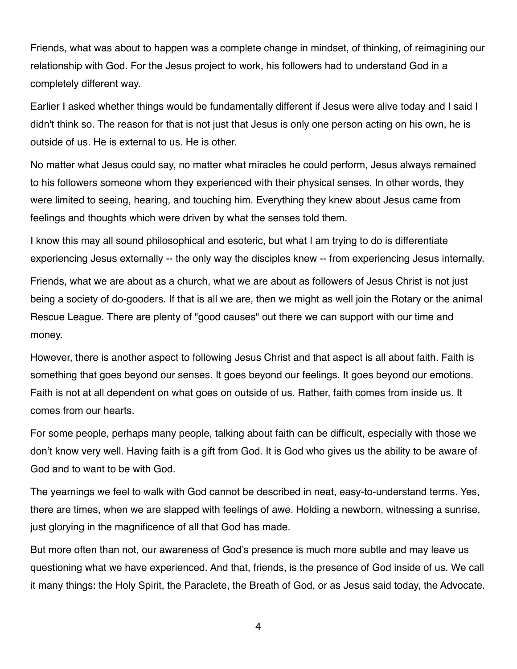Friends, what was about to happen was a complete change in mindset, of thinking, of reimagining our relationship with God. For the Jesus project to work, his followers had to understand God in a completely different way.

Earlier I asked whether things would be fundamentally different if Jesus were alive today and I said I didn't think so. The reason for that is not just that Jesus is only one person acting on his own, he is outside of us. He is external to us. He is other.

No matter what Jesus could say, no matter what miracles he could perform, Jesus always remained to his followers someone whom they experienced with their physical senses. In other words, they were limited to seeing, hearing, and touching him. Everything they knew about Jesus came from feelings and thoughts which were driven by what the senses told them.

I know this may all sound philosophical and esoteric, but what I am trying to do is differentiate experiencing Jesus externally -- the only way the disciples knew -- from experiencing Jesus internally.

Friends, what we are about as a church, what we are about as followers of Jesus Christ is not just being a society of do-gooders. If that is all we are, then we might as well join the Rotary or the animal Rescue League. There are plenty of "good causes" out there we can support with our time and money.

However, there is another aspect to following Jesus Christ and that aspect is all about faith. Faith is something that goes beyond our senses. It goes beyond our feelings. It goes beyond our emotions. Faith is not at all dependent on what goes on outside of us. Rather, faith comes from inside us. It comes from our hearts.

For some people, perhaps many people, talking about faith can be difficult, especially with those we don't know very well. Having faith is a gift from God. It is God who gives us the ability to be aware of God and to want to be with God.

The yearnings we feel to walk with God cannot be described in neat, easy-to-understand terms. Yes, there are times, when we are slapped with feelings of awe. Holding a newborn, witnessing a sunrise, just glorying in the magnificence of all that God has made.

But more often than not, our awareness of God's presence is much more subtle and may leave us questioning what we have experienced. And that, friends, is the presence of God inside of us. We call it many things: the Holy Spirit, the Paraclete, the Breath of God, or as Jesus said today, the Advocate.

4